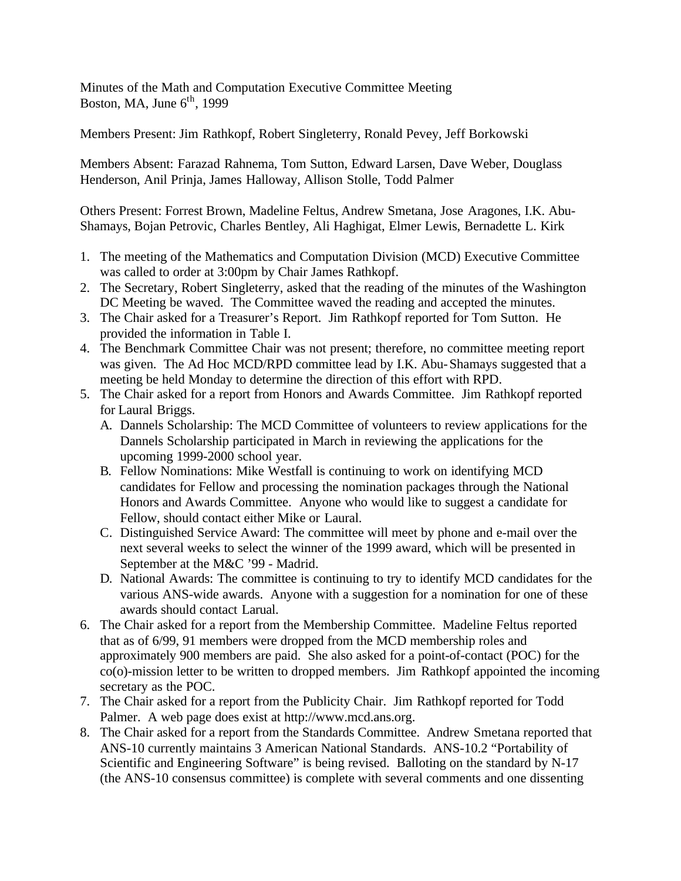Minutes of the Math and Computation Executive Committee Meeting Boston, MA, June  $6<sup>th</sup>$ , 1999

Members Present: Jim Rathkopf, Robert Singleterry, Ronald Pevey, Jeff Borkowski

Members Absent: Farazad Rahnema, Tom Sutton, Edward Larsen, Dave Weber, Douglass Henderson, Anil Prinja, James Halloway, Allison Stolle, Todd Palmer

Others Present: Forrest Brown, Madeline Feltus, Andrew Smetana, Jose Aragones, I.K. Abu-Shamays, Bojan Petrovic, Charles Bentley, Ali Haghigat, Elmer Lewis, Bernadette L. Kirk

- 1. The meeting of the Mathematics and Computation Division (MCD) Executive Committee was called to order at 3:00pm by Chair James Rathkopf.
- 2. The Secretary, Robert Singleterry, asked that the reading of the minutes of the Washington DC Meeting be waved. The Committee waved the reading and accepted the minutes.
- 3. The Chair asked for a Treasurer's Report. Jim Rathkopf reported for Tom Sutton. He provided the information in Table I.
- 4. The Benchmark Committee Chair was not present; therefore, no committee meeting report was given. The Ad Hoc MCD/RPD committee lead by I.K. Abu-Shamays suggested that a meeting be held Monday to determine the direction of this effort with RPD.
- 5. The Chair asked for a report from Honors and Awards Committee. Jim Rathkopf reported for Laural Briggs.
	- A. Dannels Scholarship: The MCD Committee of volunteers to review applications for the Dannels Scholarship participated in March in reviewing the applications for the upcoming 1999-2000 school year.
	- B. Fellow Nominations: Mike Westfall is continuing to work on identifying MCD candidates for Fellow and processing the nomination packages through the National Honors and Awards Committee. Anyone who would like to suggest a candidate for Fellow, should contact either Mike or Laural.
	- C. Distinguished Service Award: The committee will meet by phone and e-mail over the next several weeks to select the winner of the 1999 award, which will be presented in September at the M&C '99 - Madrid.
	- D. National Awards: The committee is continuing to try to identify MCD candidates for the various ANS-wide awards. Anyone with a suggestion for a nomination for one of these awards should contact Larual.
- 6. The Chair asked for a report from the Membership Committee. Madeline Feltus reported that as of 6/99, 91 members were dropped from the MCD membership roles and approximately 900 members are paid. She also asked for a point-of-contact (POC) for the co(o)-mission letter to be written to dropped members. Jim Rathkopf appointed the incoming secretary as the POC.
- 7. The Chair asked for a report from the Publicity Chair. Jim Rathkopf reported for Todd Palmer. A web page does exist at http://www.mcd.ans.org.
- 8. The Chair asked for a report from the Standards Committee. Andrew Smetana reported that ANS-10 currently maintains 3 American National Standards. ANS-10.2 "Portability of Scientific and Engineering Software" is being revised. Balloting on the standard by N-17 (the ANS-10 consensus committee) is complete with several comments and one dissenting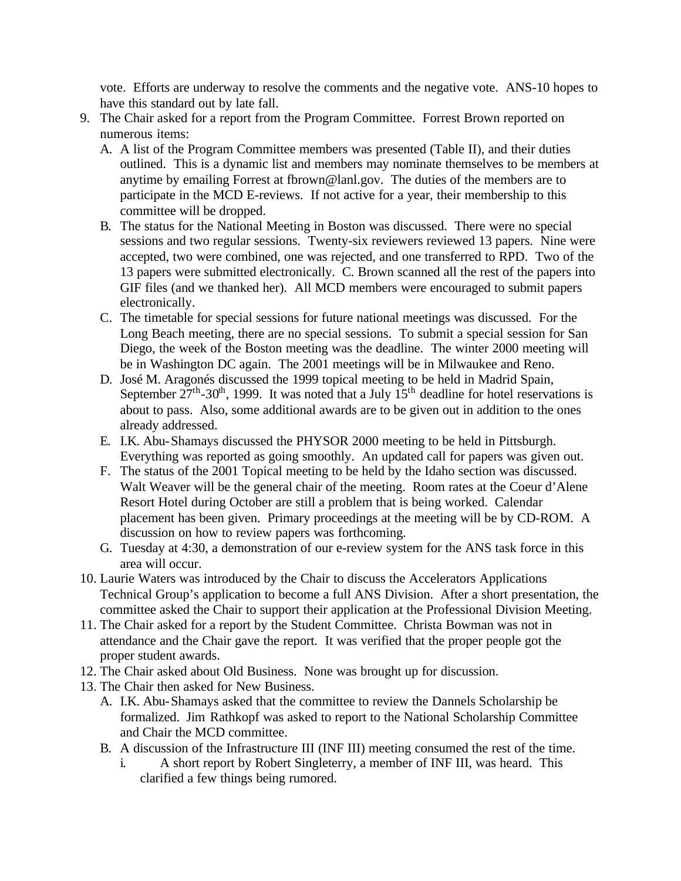vote. Efforts are underway to resolve the comments and the negative vote. ANS-10 hopes to have this standard out by late fall.

- 9. The Chair asked for a report from the Program Committee. Forrest Brown reported on numerous items:
	- A. A list of the Program Committee members was presented (Table II), and their duties outlined. This is a dynamic list and members may nominate themselves to be members at anytime by emailing Forrest at fbrown@lanl.gov. The duties of the members are to participate in the MCD E-reviews. If not active for a year, their membership to this committee will be dropped.
	- B. The status for the National Meeting in Boston was discussed. There were no special sessions and two regular sessions. Twenty-six reviewers reviewed 13 papers. Nine were accepted, two were combined, one was rejected, and one transferred to RPD. Two of the 13 papers were submitted electronically. C. Brown scanned all the rest of the papers into GIF files (and we thanked her). All MCD members were encouraged to submit papers electronically.
	- C. The timetable for special sessions for future national meetings was discussed. For the Long Beach meeting, there are no special sessions. To submit a special session for San Diego, the week of the Boston meeting was the deadline. The winter 2000 meeting will be in Washington DC again. The 2001 meetings will be in Milwaukee and Reno.
	- D. José M. Aragonés discussed the 1999 topical meeting to be held in Madrid Spain, September  $27<sup>th</sup>$ -30<sup>th</sup>, 1999. It was noted that a July  $15<sup>th</sup>$  deadline for hotel reservations is about to pass. Also, some additional awards are to be given out in addition to the ones already addressed.
	- E. I.K. Abu-Shamays discussed the PHYSOR 2000 meeting to be held in Pittsburgh. Everything was reported as going smoothly. An updated call for papers was given out.
	- F. The status of the 2001 Topical meeting to be held by the Idaho section was discussed. Walt Weaver will be the general chair of the meeting. Room rates at the Coeur d'Alene Resort Hotel during October are still a problem that is being worked. Calendar placement has been given. Primary proceedings at the meeting will be by CD-ROM. A discussion on how to review papers was forthcoming.
	- G. Tuesday at 4:30, a demonstration of our e-review system for the ANS task force in this area will occur.
- 10. Laurie Waters was introduced by the Chair to discuss the Accelerators Applications Technical Group's application to become a full ANS Division. After a short presentation, the committee asked the Chair to support their application at the Professional Division Meeting.
- 11. The Chair asked for a report by the Student Committee. Christa Bowman was not in attendance and the Chair gave the report. It was verified that the proper people got the proper student awards.
- 12. The Chair asked about Old Business. None was brought up for discussion.
- 13. The Chair then asked for New Business.
	- A. I.K. Abu-Shamays asked that the committee to review the Dannels Scholarship be formalized. Jim Rathkopf was asked to report to the National Scholarship Committee and Chair the MCD committee.
	- B. A discussion of the Infrastructure III (INF III) meeting consumed the rest of the time.
		- i. A short report by Robert Singleterry, a member of INF III, was heard. This clarified a few things being rumored.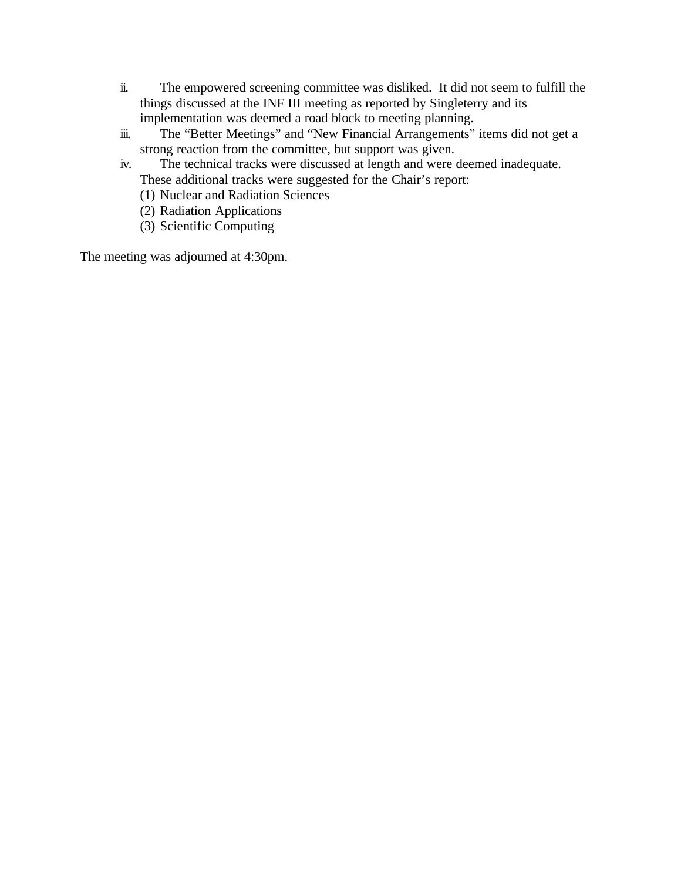- ii. The empowered screening committee was disliked. It did not seem to fulfill the things discussed at the INF III meeting as reported by Singleterry and its implementation was deemed a road block to meeting planning.
- iii. The "Better Meetings" and "New Financial Arrangements" items did not get a strong reaction from the committee, but support was given.
- iv. The technical tracks were discussed at length and were deemed inadequate. These additional tracks were suggested for the Chair's report:
	- (1) Nuclear and Radiation Sciences
	- (2) Radiation Applications
	- (3) Scientific Computing

The meeting was adjourned at 4:30pm.